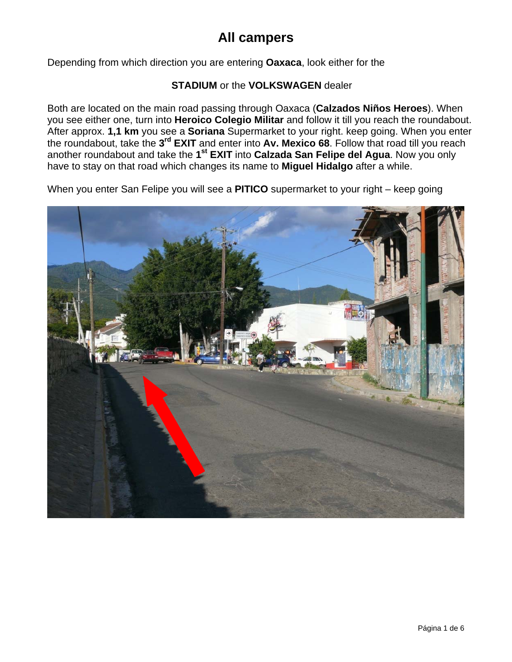Depending from which direction you are entering **Oaxaca**, look either for the

#### **STADIUM** or the **VOLKSWAGEN** dealer

Both are located on the main road passing through Oaxaca (**Calzados Niños Heroes**). When you see either one, turn into **Heroico Colegio Militar** and follow it till you reach the roundabout. After approx. **1,1 km** you see a **Soriana** Supermarket to your right. keep going. When you enter the roundabout, take the **3rd EXIT** and enter into **Av. Mexico 68**. Follow that road till you reach another roundabout and take the **1st EXIT** into **Calzada San Felipe del Agua**. Now you only have to stay on that road which changes its name to **Miguel Hidalgo** after a while.

When you enter San Felipe you will see a **PITICO** supermarket to your right – keep going

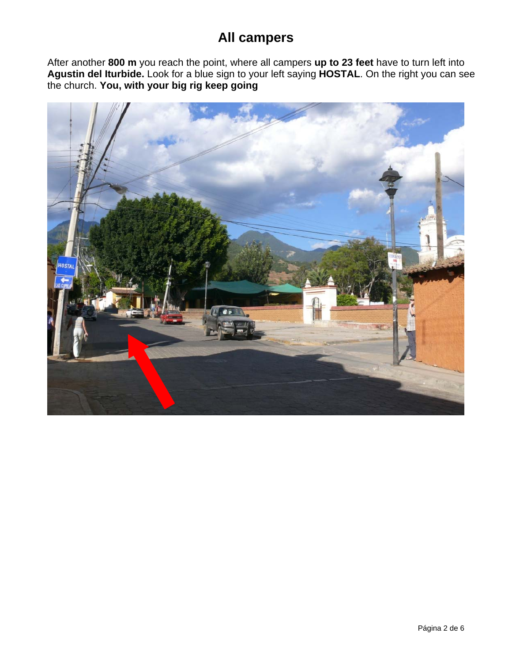After another **800 m** you reach the point, where all campers **up to 23 feet** have to turn left into **Agustin del Iturbide.** Look for a blue sign to your left saying **HOSTAL**. On the right you can see the church. **You, with your big rig keep going**

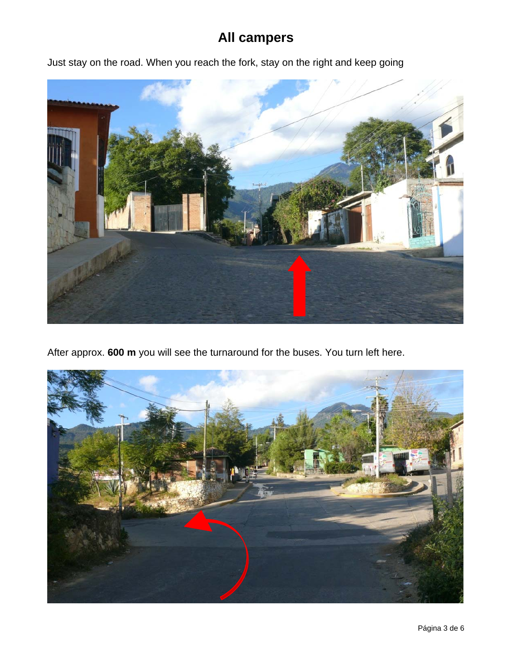Just stay on the road. When you reach the fork, stay on the right and keep going



After approx. **600 m** you will see the turnaround for the buses. You turn left here.

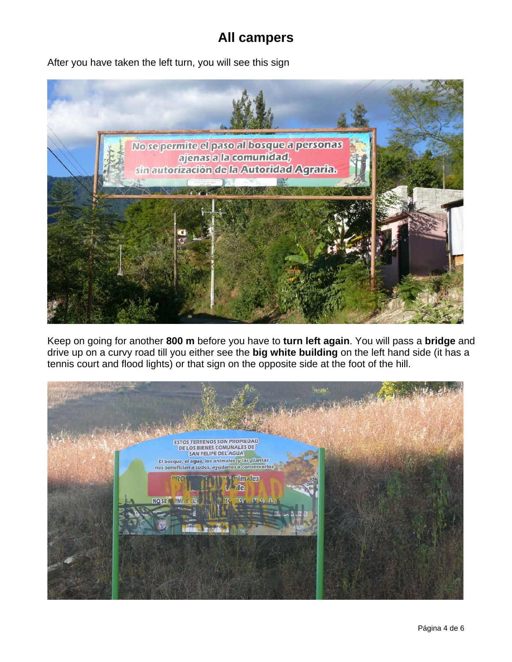After you have taken the left turn, you will see this sign



Keep on going for another **800 m** before you have to **turn left again**. You will pass a **bridge** and drive up on a curvy road till you either see the **big white building** on the left hand side (it has a tennis court and flood lights) or that sign on the opposite side at the foot of the hill.

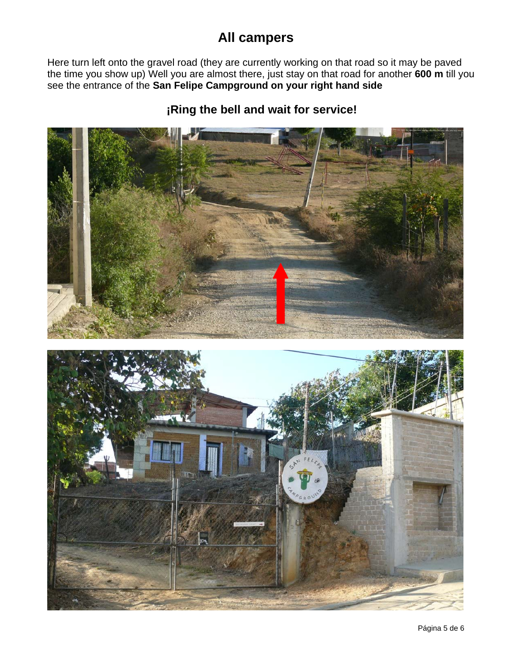Here turn left onto the gravel road (they are currently working on that road so it may be paved the time you show up) Well you are almost there, just stay on that road for another **600 m** till you see the entrance of the **San Felipe Campground on your right hand side** 

#### **¡Ring the bell and wait for service!**